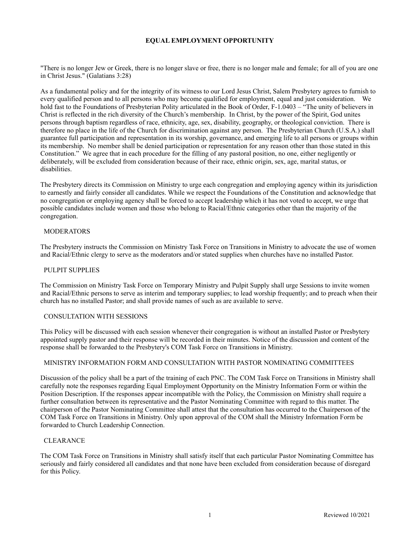# **EQUAL EMPLOYMENT OPPORTUNITY**

"There is no longer Jew or Greek, there is no longer slave or free, there is no longer male and female; for all of you are one in Christ Jesus." (Galatians 3:28)

As a fundamental policy and for the integrity of its witness to our Lord Jesus Christ, Salem Presbytery agrees to furnish to every qualified person and to all persons who may become qualified for employment, equal and just consideration. We hold fast to the Foundations of Presbyterian Polity articulated in the Book of Order, F-1.0403 – "The unity of believers in Christ is reflected in the rich diversity of the Church's membership. In Christ, by the power of the Spirit, God unites persons through baptism regardless of race, ethnicity, age, sex, disability, geography, or theological conviction. There is therefore no place in the life of the Church for discrimination against any person. The Presbyterian Church (U.S.A.) shall guarantee full participation and representation in its worship, governance, and emerging life to all persons or groups within its membership. No member shall be denied participation or representation for any reason other than those stated in this Constitution." We agree that in each procedure for the filling of any pastoral position, no one, either negligently or deliberately, will be excluded from consideration because of their race, ethnic origin, sex, age, marital status, or disabilities.

The Presbytery directs its Commission on Ministry to urge each congregation and employing agency within its jurisdiction to earnestly and fairly consider all candidates. While we respect the Foundations of the Constitution and acknowledge that no congregation or employing agency shall be forced to accept leadership which it has not voted to accept, we urge that possible candidates include women and those who belong to Racial/Ethnic categories other than the majority of the congregation.

# MODERATORS

The Presbytery instructs the Commission on Ministry Task Force on Transitions in Ministry to advocate the use of women and Racial/Ethnic clergy to serve as the moderators and/or stated supplies when churches have no installed Pastor.

#### PULPIT SUPPLIES

The Commission on Ministry Task Force on Temporary Ministry and Pulpit Supply shall urge Sessions to invite women and Racial/Ethnic persons to serve as interim and temporary supplies; to lead worship frequently; and to preach when their church has no installed Pastor; and shall provide names of such as are available to serve.

#### CONSULTATION WITH SESSIONS

This Policy will be discussed with each session whenever their congregation is without an installed Pastor or Presbytery appointed supply pastor and their response will be recorded in their minutes. Notice of the discussion and content of the response shall be forwarded to the Presbytery's COM Task Force on Transitions in Ministry.

# MINISTRY INFORMATION FORM AND CONSULTATION WITH PASTOR NOMINATING COMMITTEES

Discussion of the policy shall be a part of the training of each PNC. The COM Task Force on Transitions in Ministry shall carefully note the responses regarding Equal Employment Opportunity on the Ministry Information Form or within the Position Description. If the responses appear incompatible with the Policy, the Commission on Ministry shall require a further consultation between its representative and the Pastor Nominating Committee with regard to this matter. The chairperson of the Pastor Nominating Committee shall attest that the consultation has occurred to the Chairperson of the COM Task Force on Transitions in Ministry. Only upon approval of the COM shall the Ministry Information Form be forwarded to Church Leadership Connection.

### **CLEARANCE**

The COM Task Force on Transitions in Ministry shall satisfy itself that each particular Pastor Nominating Committee has seriously and fairly considered all candidates and that none have been excluded from consideration because of disregard for this Policy.